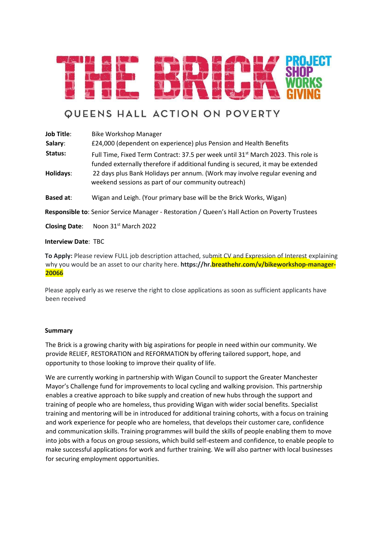

# **QUEENS HALL ACTION ON POVERTY**

**Job Title:** Bike Workshop Manager **Salary**: £24,000 (dependent on experience) plus Pension and Health Benefits Status: Full Time, Fixed Term Contract: 37.5 per week until 31<sup>st</sup> March 2023. This role is funded externally therefore if additional funding is secured, it may be extended **Holidays**: 22 days plus Bank Holidays per annum. (Work may involve regular evening and weekend sessions as part of our community outreach) **Based at**: Wigan and Leigh. (Your primary base will be the Brick Works, Wigan) **Responsible to**: Senior Service Manager - Restoration / Queen's Hall Action on Poverty Trustees

**Closing Date:** Noon 31<sup>st</sup> March 2022

## **Interview Date**: TBC

**To Apply:** Please review FULL job description attached, submit CV and Expression of Interest explaining why you would be an asset to our charity here. https://hr.breathehr.com/v/bikeworkshop-manager-**20066**

Please apply early as we reserve the right to close applications as soon as sufficient applicants have been received

#### **Summary**

The Brick is a growing charity with big aspirations for people in need within our community. We provide RELIEF, RESTORATION and REFORMATION by offering tailored support, hope, and opportunity to those looking to improve their quality of life.

We are currently working in partnership with Wigan Council to support the Greater Manchester Mayor's Challenge fund for improvements to local cycling and walking provision. This partnership enables a creative approach to bike supply and creation of new hubs through the support and training of people who are homeless, thus providing Wigan with wider social benefits. Specialist training and mentoring will be in introduced for additional training cohorts, with a focus on training and work experience for people who are homeless, that develops their customer care, confidence and communication skills. Training programmes will build the skills of people enabling them to move into jobs with a focus on group sessions, which build self-esteem and confidence, to enable people to make successful applications for work and further training. We will also partner with local businesses for securing employment opportunities.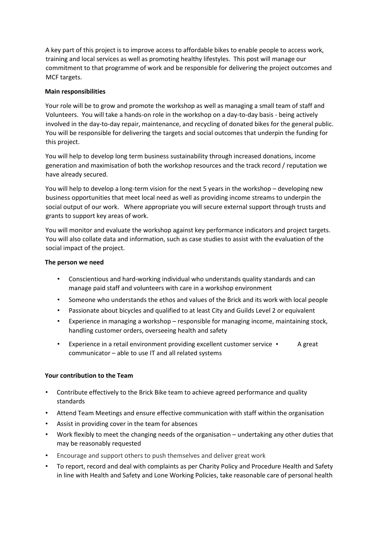A key part of this project is to improve access to affordable bikes to enable people to access work, training and local services as well as promoting healthy lifestyles. This post will manage our commitment to that programme of work and be responsible for delivering the project outcomes and MCF targets.

## **Main responsibilities**

Your role will be to grow and promote the workshop as well as managing a small team of staff and Volunteers. You will take a hands-on role in the workshop on a day-to-day basis - being actively involved in the day-to-day repair, maintenance, and recycling of donated bikes for the general public. You will be responsible for delivering the targets and social outcomes that underpin the funding for this project.

You will help to develop long term business sustainability through increased donations, income generation and maximisation of both the workshop resources and the track record / reputation we have already secured.

You will help to develop a long-term vision for the next 5 years in the workshop – developing new business opportunities that meet local need as well as providing income streams to underpin the social output of our work. Where appropriate you will secure external support through trusts and grants to support key areas of work.

You will monitor and evaluate the workshop against key performance indicators and project targets. You will also collate data and information, such as case studies to assist with the evaluation of the social impact of the project.

## **The person we need**

- Conscientious and hard-working individual who understands quality standards and can manage paid staff and volunteers with care in a workshop environment
- Someone who understands the ethos and values of the Brick and its work with local people
- Passionate about bicycles and qualified to at least City and Guilds Level 2 or equivalent
- Experience in managing a workshop responsible for managing income, maintaining stock, handling customer orders, overseeing health and safety
- Experience in a retail environment providing excellent customer service  $\cdot$  A great communicator – able to use IT and all related systems

## **Your contribution to the Team**

- Contribute effectively to the Brick Bike team to achieve agreed performance and quality standards
- Attend Team Meetings and ensure effective communication with staff within the organisation
- Assist in providing cover in the team for absences
- Work flexibly to meet the changing needs of the organisation undertaking any other duties that may be reasonably requested
- Encourage and support others to push themselves and deliver great work
- To report, record and deal with complaints as per Charity Policy and Procedure Health and Safety in line with Health and Safety and Lone Working Policies, take reasonable care of personal health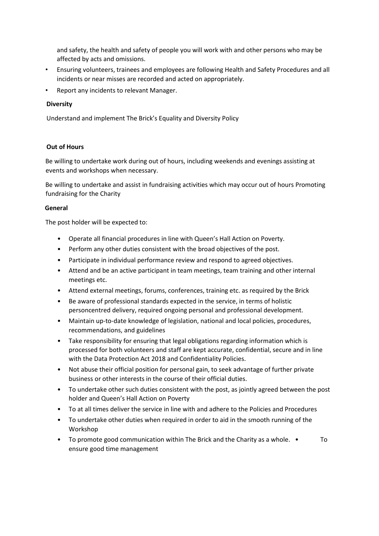and safety, the health and safety of people you will work with and other persons who may be affected by acts and omissions.

- Ensuring volunteers, trainees and employees are following Health and Safety Procedures and all incidents or near misses are recorded and acted on appropriately.
- Report any incidents to relevant Manager.

## **Diversity**

Understand and implement The Brick's Equality and Diversity Policy

## **Out of Hours**

Be willing to undertake work during out of hours, including weekends and evenings assisting at events and workshops when necessary.

Be willing to undertake and assist in fundraising activities which may occur out of hours Promoting fundraising for the Charity

#### **General**

The post holder will be expected to:

- Operate all financial procedures in line with Queen's Hall Action on Poverty.
- Perform any other duties consistent with the broad objectives of the post.
- Participate in individual performance review and respond to agreed objectives.
- Attend and be an active participant in team meetings, team training and other internal meetings etc.
- Attend external meetings, forums, conferences, training etc. as required by the Brick
- Be aware of professional standards expected in the service, in terms of holistic personcentred delivery, required ongoing personal and professional development.
- Maintain up-to-date knowledge of legislation, national and local policies, procedures, recommendations, and guidelines
- Take responsibility for ensuring that legal obligations regarding information which is processed for both volunteers and staff are kept accurate, confidential, secure and in line with the Data Protection Act 2018 and Confidentiality Policies.
- Not abuse their official position for personal gain, to seek advantage of further private business or other interests in the course of their official duties.
- To undertake other such duties consistent with the post, as jointly agreed between the post holder and Queen's Hall Action on Poverty
- To at all times deliver the service in line with and adhere to the Policies and Procedures
- To undertake other duties when required in order to aid in the smooth running of the Workshop
- To promote good communication within The Brick and the Charity as a whole. To ensure good time management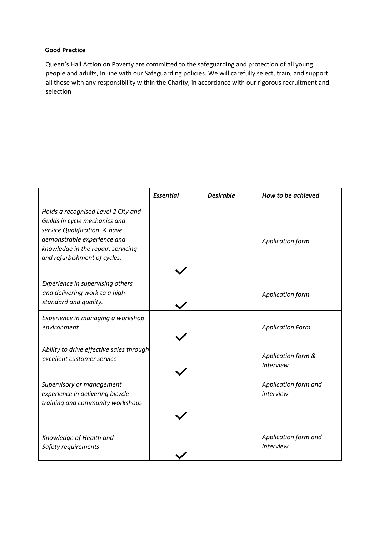# **Good Practice**

Queen's Hall Action on Poverty are committed to the safeguarding and protection of all young people and adults, In line with our Safeguarding policies. We will carefully select, train, and support all those with any responsibility within the Charity, in accordance with our rigorous recruitment and selection

|                                                                                                                                                                                                           | <b>Essential</b> | <b>Desirable</b> | How to be achieved                     |
|-----------------------------------------------------------------------------------------------------------------------------------------------------------------------------------------------------------|------------------|------------------|----------------------------------------|
| Holds a recognised Level 2 City and<br>Guilds in cycle mechanics and<br>service Qualification & have<br>demonstrable experience and<br>knowledge in the repair, servicing<br>and refurbishment of cycles. |                  |                  | Application form                       |
| Experience in supervising others<br>and delivering work to a high<br>standard and quality.                                                                                                                |                  |                  | Application form                       |
| Experience in managing a workshop<br>environment                                                                                                                                                          |                  |                  | <b>Application Form</b>                |
| Ability to drive effective sales through<br>excellent customer service                                                                                                                                    |                  |                  | Application form &<br><b>Interview</b> |
| Supervisory or management<br>experience in delivering bicycle<br>training and community workshops                                                                                                         |                  |                  | Application form and<br>interview      |
| Knowledge of Health and<br>Safety requirements                                                                                                                                                            |                  |                  | Application form and<br>interview      |